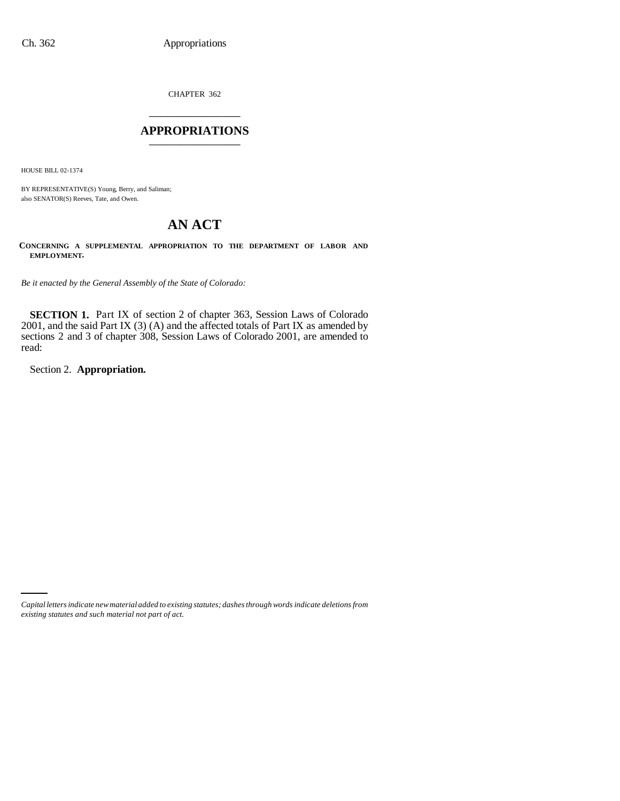CHAPTER 362 \_\_\_\_\_\_\_\_\_\_\_\_\_\_\_

## **APPROPRIATIONS** \_\_\_\_\_\_\_\_\_\_\_\_\_\_\_

HOUSE BILL 02-1374

BY REPRESENTATIVE(S) Young, Berry, and Saliman; also SENATOR(S) Reeves, Tate, and Owen.

# **AN ACT**

**CONCERNING A SUPPLEMENTAL APPROPRIATION TO THE DEPARTMENT OF LABOR AND EMPLOYMENT.**

*Be it enacted by the General Assembly of the State of Colorado:*

**SECTION 1.** Part IX of section 2 of chapter 363, Session Laws of Colorado 2001, and the said Part IX (3) (A) and the affected totals of Part IX as amended by sections 2 and 3 of chapter 308, Session Laws of Colorado 2001, are amended to read:

Section 2. **Appropriation.**

*Capital letters indicate new material added to existing statutes; dashes through words indicate deletions from existing statutes and such material not part of act.*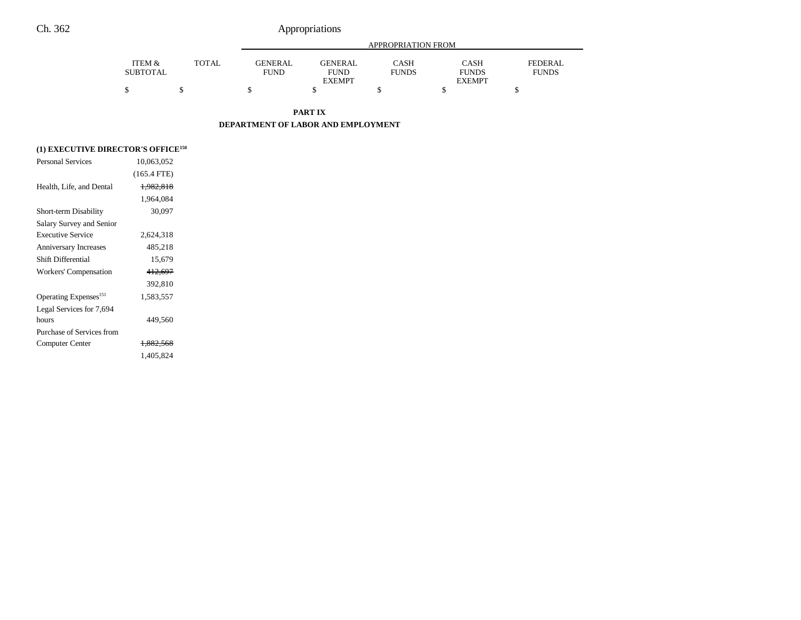|                 |              |                | APPROPRIATION FROM |              |               |              |  |
|-----------------|--------------|----------------|--------------------|--------------|---------------|--------------|--|
| ITEM &          | <b>TOTAL</b> | <b>GENERAL</b> | <b>GENERAL</b>     | CASH         | <b>CASH</b>   | FEDERAL      |  |
| <b>SUBTOTAL</b> |              | <b>FUND</b>    | <b>FUND</b>        | <b>FUNDS</b> | <b>FUNDS</b>  | <b>FUNDS</b> |  |
|                 |              |                | <b>EXEMPT</b>      |              | <b>EXEMPT</b> |              |  |
|                 |              |                |                    |              |               |              |  |

**PART IX**

**DEPARTMENT OF LABOR AND EMPLOYMENT**

## **(1) EXECUTIVE DIRECTOR'S OFFICE150**

| <b>Personal Services</b>          | 10,063,052    |  |
|-----------------------------------|---------------|--|
|                                   | $(165.4$ FTE) |  |
| Health, Life, and Dental          | 1,982,818     |  |
|                                   | 1,964,084     |  |
| Short-term Disability             | 30,097        |  |
| Salary Survey and Senior          |               |  |
| <b>Executive Service</b>          | 2,624,318     |  |
| <b>Anniversary Increases</b>      | 485.218       |  |
| Shift Differential                | 15,679        |  |
| Workers' Compensation             | 412,697       |  |
|                                   | 392.810       |  |
| Operating Expenses <sup>151</sup> | 1,583,557     |  |
| Legal Services for 7,694          |               |  |
| hours                             | 449,560       |  |
| Purchase of Services from         |               |  |
| Computer Center                   | 1.882.568     |  |
|                                   | 1,405,824     |  |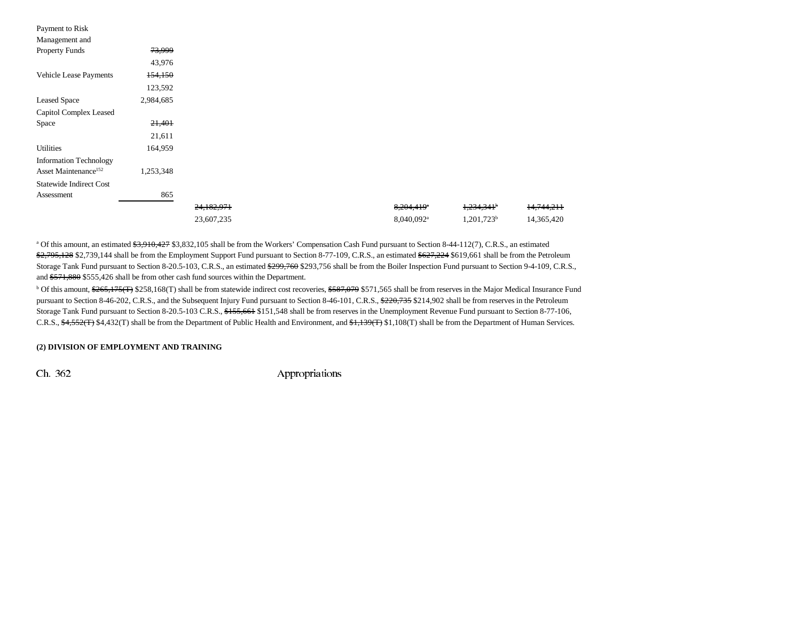| Payment to Risk                  |           |            |  |                        |                          |            |
|----------------------------------|-----------|------------|--|------------------------|--------------------------|------------|
| Management and                   |           |            |  |                        |                          |            |
| <b>Property Funds</b>            | 73,999    |            |  |                        |                          |            |
|                                  | 43,976    |            |  |                        |                          |            |
| Vehicle Lease Payments           | 154,150   |            |  |                        |                          |            |
|                                  | 123,592   |            |  |                        |                          |            |
| <b>Leased Space</b>              | 2,984,685 |            |  |                        |                          |            |
| Capitol Complex Leased           |           |            |  |                        |                          |            |
| Space                            | 21,401    |            |  |                        |                          |            |
|                                  | 21,611    |            |  |                        |                          |            |
| <b>Utilities</b>                 | 164,959   |            |  |                        |                          |            |
| <b>Information Technology</b>    |           |            |  |                        |                          |            |
| Asset Maintenance <sup>152</sup> | 1,253,348 |            |  |                        |                          |            |
| <b>Statewide Indirect Cost</b>   |           |            |  |                        |                          |            |
| Assessment                       | 865       |            |  |                        |                          |            |
|                                  |           | 24,182,971 |  | 8,204,419 <sup>a</sup> | $1,234,341$ <sup>b</sup> | 14,744,211 |
|                                  |           | 23,607,235 |  | 8,040,092 <sup>a</sup> | $1,201,723^b$            | 14,365,420 |

<sup>a</sup> Of this amount, an estimated \$3,910,427 \$3,832,105 shall be from the Workers' Compensation Cash Fund pursuant to Section 8-44-112(7), C.R.S., an estimated \$2,795,128 \$2,739,144 shall be from the Employment Support Fund pursuant to Section 8-77-109, C.R.S., an estimated \$627,224 \$619,661 shall be from the Petroleum Storage Tank Fund pursuant to Section 8-20.5-103, C.R.S., an estimated \$299,760 \$293,756 shall be from the Boiler Inspection Fund pursuant to Section 9-4-109, C.R.S., and \$571,880 \$555,426 shall be from other cash fund sources within the Department.

<sup>b</sup> Of this amount, \$265,175(T) \$258,168(T) shall be from statewide indirect cost recoveries, \$587,079 \$571,565 shall be from reserves in the Major Medical Insurance Fund pursuant to Section 8-46-202, C.R.S., and the Subsequent Injury Fund pursuant to Section 8-46-101, C.R.S., \$220,735 \$214,902 shall be from reserves in the Petroleum Storage Tank Fund pursuant to Section 8-20.5-103 C.R.S., \$155,661 \$151,548 shall be from reserves in the Unemployment Revenue Fund pursuant to Section 8-77-106, C.R.S.,  $\frac{4,552(T)}{4,432(T)}$  shall be from the Department of Public Health and Environment, and  $\frac{4,139(T)}{1,108(T)}$  shall be from the Department of Human Services.

#### **(2) DIVISION OF EMPLOYMENT AND TRAINING**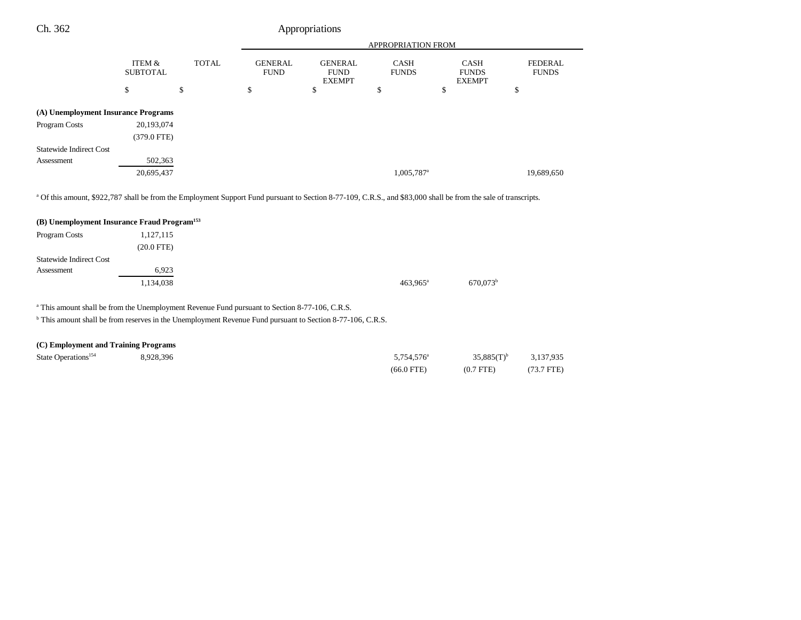|                                     |                           |              | <b>APPROPRIATION FROM</b>     |                                                |                             |                                              |                                |
|-------------------------------------|---------------------------|--------------|-------------------------------|------------------------------------------------|-----------------------------|----------------------------------------------|--------------------------------|
|                                     | ITEM &<br><b>SUBTOTAL</b> | <b>TOTAL</b> | <b>GENERAL</b><br><b>FUND</b> | <b>GENERAL</b><br><b>FUND</b><br><b>EXEMPT</b> | <b>CASH</b><br><b>FUNDS</b> | <b>CASH</b><br><b>FUNDS</b><br><b>EXEMPT</b> | <b>FEDERAL</b><br><b>FUNDS</b> |
|                                     | \$                        | \$           | \$                            | \$                                             | \$                          | Φ                                            | \$                             |
| (A) Unemployment Insurance Programs |                           |              |                               |                                                |                             |                                              |                                |
| Program Costs                       | 20,193,074                |              |                               |                                                |                             |                                              |                                |
|                                     | $(379.0 \text{ FTE})$     |              |                               |                                                |                             |                                              |                                |
| <b>Statewide Indirect Cost</b>      |                           |              |                               |                                                |                             |                                              |                                |
| Assessment                          | 502,363                   |              |                               |                                                |                             |                                              |                                |
|                                     | 20,695,437                |              |                               |                                                | 1,005,787 <sup>a</sup>      |                                              | 19,689,650                     |
|                                     |                           |              |                               |                                                |                             |                                              |                                |

a Of this amount, \$922,787 shall be from the Employment Support Fund pursuant to Section 8-77-109, C.R.S., and \$83,000 shall be from the sale of transcripts.

| (B) Unemployment Insurance Fraud Program <sup>153</sup> |                      |
|---------------------------------------------------------|----------------------|
| 1,127,115<br>Program Costs                              |                      |
| $(20.0$ FTE $)$                                         |                      |
| <b>Statewide Indirect Cost</b>                          |                      |
| 6.923<br>Assessment                                     |                      |
| 1,134,038                                               | $463.965^{\text{a}}$ |

a This amount shall be from the Unemployment Revenue Fund pursuant to Section 8-77-106, C.R.S.

<sup>b</sup> This amount shall be from reserves in the Unemployment Revenue Fund pursuant to Section 8-77-106, C.R.S.

## **(C) Employment and Training Programs**

| State Operations <sup>154</sup> | 8.928.396 | 5.754.576 <sup>a</sup> | $35.885(T)^{b}$ | 3,137,935  |
|---------------------------------|-----------|------------------------|-----------------|------------|
|                                 |           | $(66.0$ FTE)           | $(0.7$ FTE)     | (73.7 FTE) |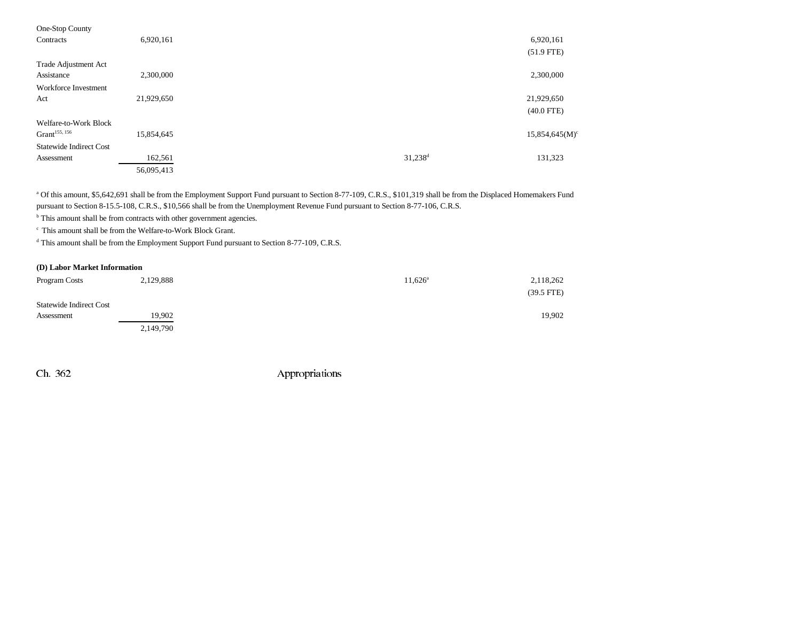| One-Stop County                |            |                       |               |
|--------------------------------|------------|-----------------------|---------------|
| Contracts                      | 6,920,161  |                       | 6,920,161     |
|                                |            |                       | $(51.9$ FTE)  |
| Trade Adjustment Act           |            |                       |               |
| Assistance                     | 2,300,000  |                       | 2,300,000     |
| Workforce Investment           |            |                       |               |
| Act                            | 21,929,650 |                       | 21,929,650    |
|                                |            |                       | $(40.0$ FTE)  |
| Welfare-to-Work Block          |            |                       |               |
| Grant <sup>155, 156</sup>      | 15,854,645 |                       | 15,854,645(M) |
| <b>Statewide Indirect Cost</b> |            |                       |               |
| Assessment                     | 162,561    | $31,238$ <sup>d</sup> | 131,323       |
|                                | 56,095,413 |                       |               |

<sup>a</sup> Of this amount, \$5,642,691 shall be from the Employment Support Fund pursuant to Section 8-77-109, C.R.S., \$101,319 shall be from the Displaced Homemakers Fund pursuant to Section 8-15.5-108, C.R.S., \$10,566 shall be from the Unemployment Revenue Fund pursuant to Section 8-77-106, C.R.S.

<sup>b</sup> This amount shall be from contracts with other government agencies.

c This amount shall be from the Welfare-to-Work Block Grant.

d This amount shall be from the Employment Support Fund pursuant to Section 8-77-109, C.R.S.

### **(D) Labor Market Information**

| Program Costs                  | 2,129,888 | $11,626^{\rm a}$ | 2,118,262    |
|--------------------------------|-----------|------------------|--------------|
|                                |           |                  | $(39.5$ FTE) |
| <b>Statewide Indirect Cost</b> |           |                  |              |
| Assessment                     | 19.902    |                  | 19,902       |
|                                | 2,149,790 |                  |              |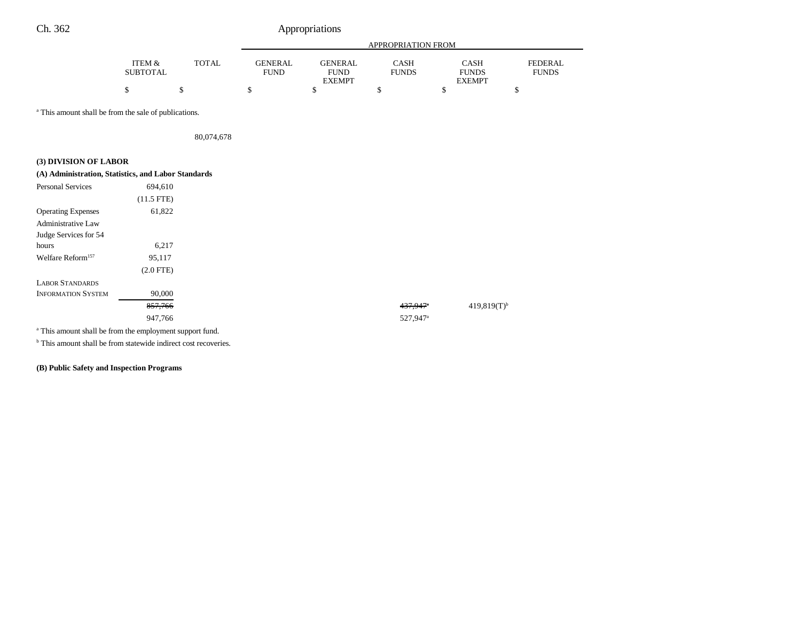|                   |       |                | APPROPRIATION FROM |              |               |              |  |
|-------------------|-------|----------------|--------------------|--------------|---------------|--------------|--|
| <b>ITEM &amp;</b> | TOTAL | <b>GENERAL</b> | GENERAL            | CASH         | CASH          | FEDERAL      |  |
| <b>SUBTOTAL</b>   |       | <b>FUND</b>    | <b>FUND</b>        | <b>FUNDS</b> | <b>FUNDS</b>  | <b>FUNDS</b> |  |
|                   |       |                | <b>EXEMPT</b>      |              | <b>EXEMPT</b> |              |  |
|                   |       |                |                    |              |               |              |  |

<sup>a</sup> This amount shall be from the sale of publications.

80,074,678

## **(3) DIVISION OF LABOR**

| (A) Administration, Statistics, and Labor Standards |              |
|-----------------------------------------------------|--------------|
| <b>Personal Services</b>                            | 694,610      |
|                                                     | $(11.5$ FTE) |
| <b>Operating Expenses</b>                           | 61,822       |
| Administrative Law                                  |              |
| Judge Services for 54                               |              |
| hours                                               | 6,217        |
| Welfare Reform <sup>157</sup>                       | 95,117       |
|                                                     | $(2.0$ FTE)  |
| <b>LABOR STANDARDS</b>                              |              |
| <b>INFORMATION SYSTEM</b>                           | 90,000       |
|                                                     | 857,766      |
|                                                     | 947,766      |

a This amount shall be from the employment support fund.

<sup>b</sup> This amount shall be from statewide indirect cost recoveries.

**(B) Public Safety and Inspection Programs**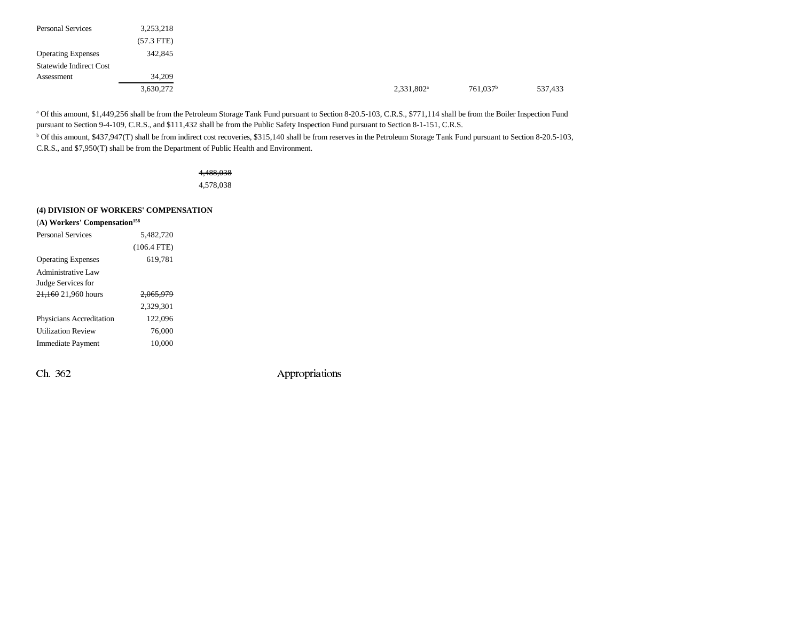| <b>Personal Services</b>       | 3,253,218    |
|--------------------------------|--------------|
|                                | $(57.3$ FTE) |
| <b>Operating Expenses</b>      | 342,845      |
| <b>Statewide Indirect Cost</b> |              |
| Assessment                     | 34,209       |
|                                | 3,630,272    |

a Of this amount, \$1,449,256 shall be from the Petroleum Storage Tank Fund pursuant to Section 8-20.5-103, C.R.S., \$771,114 shall be from the Boiler Inspection Fund pursuant to Section 9-4-109, C.R.S., and \$111,432 shall be from the Public Safety Inspection Fund pursuant to Section 8-1-151, C.R.S.

<sup>b</sup> Of this amount, \$437,947(T) shall be from indirect cost recoveries, \$315,140 shall be from reserves in the Petroleum Storage Tank Fund pursuant to Section 8-20.5-103, C.R.S., and \$7,950(T) shall be from the Department of Public Health and Environment.

## 4,488,038

4,578,038

## **(4) DIVISION OF WORKERS' COMPENSATION**

| (A) Workers' Compensation <sup>158</sup> |                      |  |  |  |  |  |
|------------------------------------------|----------------------|--|--|--|--|--|
| <b>Personal Services</b>                 | 5.482.720            |  |  |  |  |  |
|                                          | $(106.4$ FTE)        |  |  |  |  |  |
| <b>Operating Expenses</b>                | 619.781              |  |  |  |  |  |
| Administrative Law                       |                      |  |  |  |  |  |
| Judge Services for                       |                      |  |  |  |  |  |
| $21,160$ 21,960 hours                    | <del>2.065.979</del> |  |  |  |  |  |
|                                          | 2.329.301            |  |  |  |  |  |
| Physicians Accreditation                 | 122.096              |  |  |  |  |  |
| <b>Utilization Review</b>                | 76,000               |  |  |  |  |  |
| Immediate Payment                        | 10.000               |  |  |  |  |  |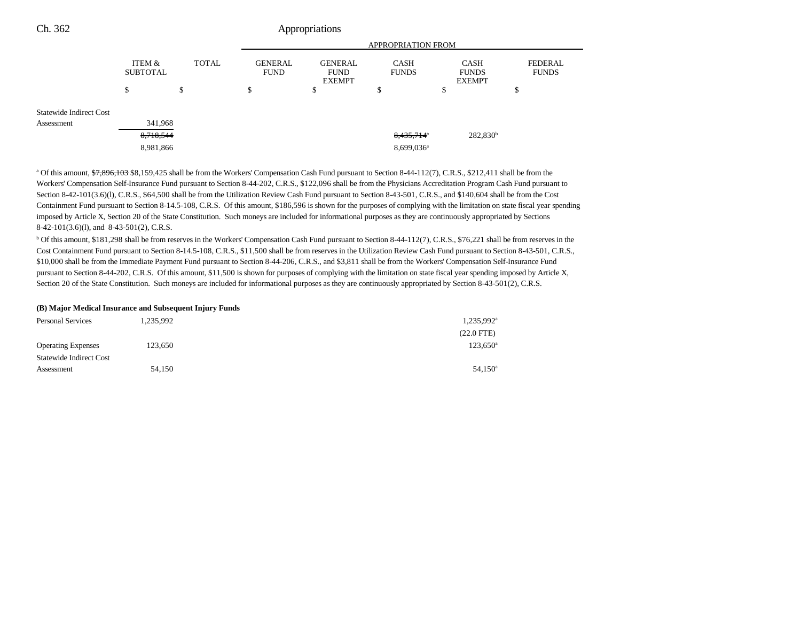| Ch. 362                 | Appropriations     |       |                               |                                                |                             |                                              |    |  |
|-------------------------|--------------------|-------|-------------------------------|------------------------------------------------|-----------------------------|----------------------------------------------|----|--|
|                         |                    |       | <b>APPROPRIATION FROM</b>     |                                                |                             |                                              |    |  |
|                         | ITEM &<br>SUBTOTAL | TOTAL | <b>GENERAL</b><br><b>FUND</b> | <b>GENERAL</b><br><b>FUND</b><br><b>EXEMPT</b> | <b>CASH</b><br><b>FUNDS</b> | <b>CASH</b><br><b>FUNDS</b><br><b>EXEMPT</b> |    |  |
|                         | \$                 | \$    | \$                            | \$                                             | \$                          | ъ                                            | \$ |  |
| Statewide Indirect Cost |                    |       |                               |                                                |                             |                                              |    |  |
| Assessment              | 341,968            |       |                               |                                                |                             |                                              |    |  |

8,981,866 8,099,036<sup>a</sup>

FEDERAL FUNDS

<sup>a</sup> Of this amount,  $\frac{1}{27,896,103}$  \$8,159,425 shall be from the Workers' Compensation Cash Fund pursuant to Section 8-44-112(7), C.R.S., \$212,411 shall be from the Workers' Compensation Self-Insurance Fund pursuant to Section 8-44-202, C.R.S., \$122,096 shall be from the Physicians Accreditation Program Cash Fund pursuant to Section 8-42-101(3.6)(l), C.R.S., \$64,500 shall be from the Utilization Review Cash Fund pursuant to Section 8-43-501, C.R.S., and \$140,604 shall be from the Cost Containment Fund pursuant to Section 8-14.5-108, C.R.S. Of this amount, \$186,596 is shown for the purposes of complying with the limitation on state fiscal year spending imposed by Article X, Section 20 of the State Constitution. Such moneys are included for informational purposes as they are continuously appropriated by Sections 8-42-101(3.6)(l), and 8-43-501(2), C.R.S.

 $8,435,714$ <sup>\*</sup> 282,830<sup>b</sup>

<sup>b</sup> Of this amount, \$181,298 shall be from reserves in the Workers' Compensation Cash Fund pursuant to Section 8-44-112(7), C.R.S., \$76,221 shall be from reserves in the Cost Containment Fund pursuant to Section 8-14.5-108, C.R.S., \$11,500 shall be from reserves in the Utilization Review Cash Fund pursuant to Section 8-43-501, C.R.S., \$10,000 shall be from the Immediate Payment Fund pursuant to Section 8-44-206, C.R.S., and \$3,811 shall be from the Workers' Compensation Self-Insurance Fund pursuant to Section 8-44-202, C.R.S. Of this amount, \$11,500 is shown for purposes of complying with the limitation on state fiscal year spending imposed by Article X, Section 20 of the State Constitution. Such moneys are included for informational purposes as they are continuously appropriated by Section 8-43-501(2), C.R.S.

#### **(B) Major Medical Insurance and Subsequent Injury Funds**

| <b>Personal Services</b>       | 1,235,992 | $1,235,992^{\mathrm{a}}$ |
|--------------------------------|-----------|--------------------------|
|                                |           | $(22.0$ FTE)             |
| <b>Operating Expenses</b>      | 123,650   | $123,650^{\circ}$        |
| <b>Statewide Indirect Cost</b> |           |                          |
| Assessment                     | 54,150    | $54,150^{\circ}$         |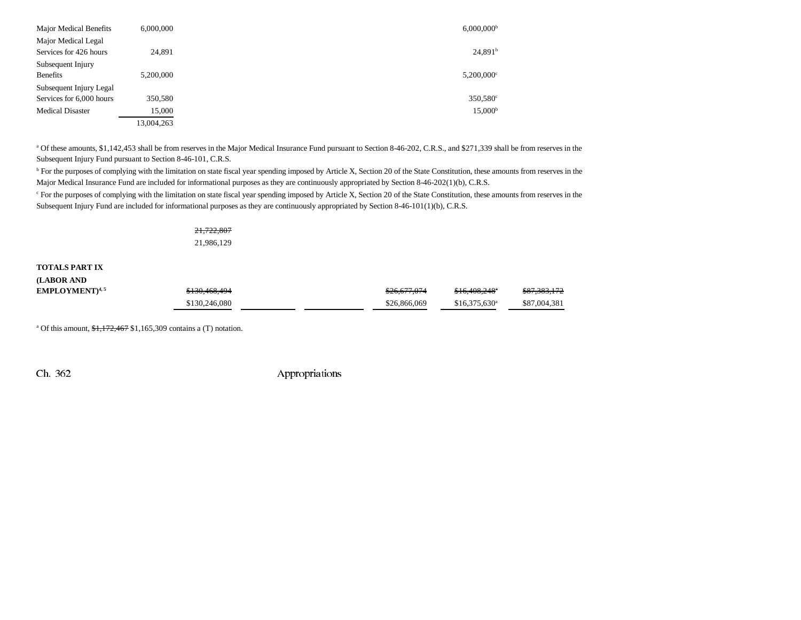| <b>Major Medical Benefits</b> | 6.000.000  | $6,000,000^{\rm b}$      |  |
|-------------------------------|------------|--------------------------|--|
| Major Medical Legal           |            |                          |  |
| Services for 426 hours        | 24.891     | 24,891 <sup>b</sup>      |  |
| Subsequent Injury             |            |                          |  |
| <b>Benefits</b>               | 5.200,000  | $5,200,000$ <sup>c</sup> |  |
| Subsequent Injury Legal       |            |                          |  |
| Services for 6,000 hours      | 350,580    | $350,580^{\circ}$        |  |
| <b>Medical Disaster</b>       | 15,000     | $15,000^{\rm b}$         |  |
|                               | 13,004,263 |                          |  |

<sup>a</sup> Of these amounts, \$1,142,453 shall be from reserves in the Major Medical Insurance Fund pursuant to Section 8-46-202, C.R.S., and \$271,339 shall be from reserves in the Subsequent Injury Fund pursuant to Section 8-46-101, C.R.S.

<sup>b</sup> For the purposes of complying with the limitation on state fiscal year spending imposed by Article X, Section 20 of the State Constitution, these amounts from reserves in the Major Medical Insurance Fund are included for informational purposes as they are continuously appropriated by Section 8-46-202(1)(b), C.R.S.

<sup>c</sup> For the purposes of complying with the limitation on state fiscal year spending imposed by Article X, Section 20 of the State Constitution, these amounts from reserves in the Subsequent Injury Fund are included for informational purposes as they are continuously appropriated by Section 8-46-101(1)(b), C.R.S.

> 21,722,807 21,986,129

**TOTALS PART IX(LABOR AND**

| (LABUK AND                       |                          |              |                            |                         |
|----------------------------------|--------------------------|--------------|----------------------------|-------------------------|
| <b>EMPLOYMENT</b> <sup>4,5</sup> | <del>\$130,468,494</del> | \$26,677,074 | $$16,408,248$ <sup>*</sup> | <del>\$87,383,172</del> |
|                                  | \$130,246,080            | \$26,866,069 | $$16,375,630$ <sup>a</sup> | \$87,004,381            |

<sup>a</sup> Of this amount,  $\frac{1,172,467}{1,165,309}$  contains a (T) notation.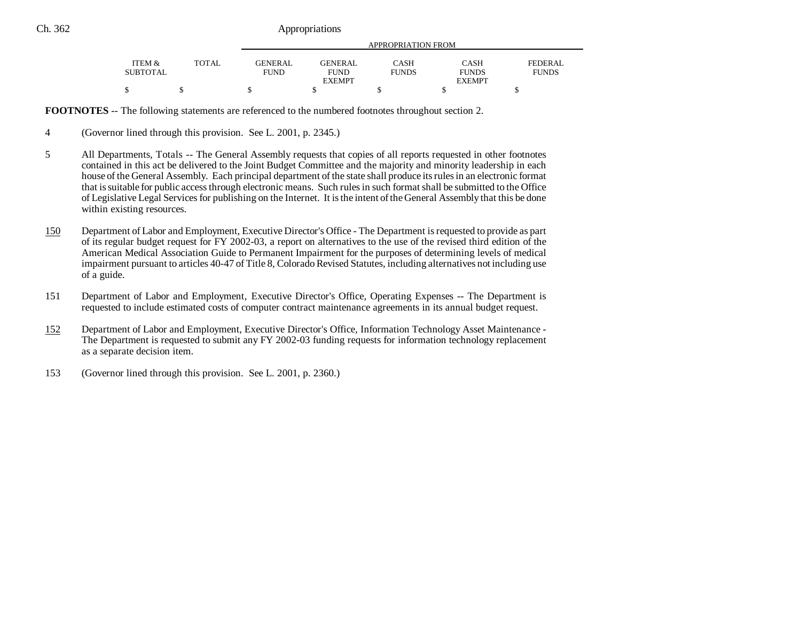| <b>ITEM <math>\&amp;</math></b> |        |             | APPROPRIATION FROM |              |               |              |  |
|---------------------------------|--------|-------------|--------------------|--------------|---------------|--------------|--|
|                                 | TOTAL. | GENER AL.   | <b>GENERAL</b>     | CASH         | CASH          | FEDERAL      |  |
| <b>SUBTOTAL</b>                 |        | <b>FUND</b> | <b>FUND</b>        | <b>FUNDS</b> | <b>FUNDS</b>  | <b>FUNDS</b> |  |
|                                 |        |             | <b>EXEMPT</b>      |              | <b>EXEMPT</b> |              |  |
| Φ                               |        |             |                    |              |               |              |  |

**FOOTNOTES** -- The following statements are referenced to the numbered footnotes throughout section 2.

- 4 (Governor lined through this provision. See L. 2001, p. 2345.)
- 5 All Departments, Totals -- The General Assembly requests that copies of all reports requested in other footnotes contained in this act be delivered to the Joint Budget Committee and the majority and minority leadership in each house of the General Assembly. Each principal department of the state shall produce its rules in an electronic format that is suitable for public access through electronic means. Such rules in such format shall be submitted to the Office of Legislative Legal Services for publishing on the Internet. It is the intent of the General Assembly that this be done within existing resources.
- 150 Department of Labor and Employment, Executive Director's Office - The Department is requested to provide as part of its regular budget request for FY 2002-03, a report on alternatives to the use of the revised third edition of the American Medical Association Guide to Permanent Impairment for the purposes of determining levels of medical impairment pursuant to articles 40-47 of Title 8, Colorado Revised Statutes, including alternatives not including use of a guide.
- 151 Department of Labor and Employment, Executive Director's Office, Operating Expenses -- The Department is requested to include estimated costs of computer contract maintenance agreements in its annual budget request.
- 152 Department of Labor and Employment, Executive Director's Office, Information Technology Asset Maintenance - The Department is requested to submit any FY 2002-03 funding requests for information technology replacement as a separate decision item.
- 153 (Governor lined through this provision. See L. 2001, p. 2360.)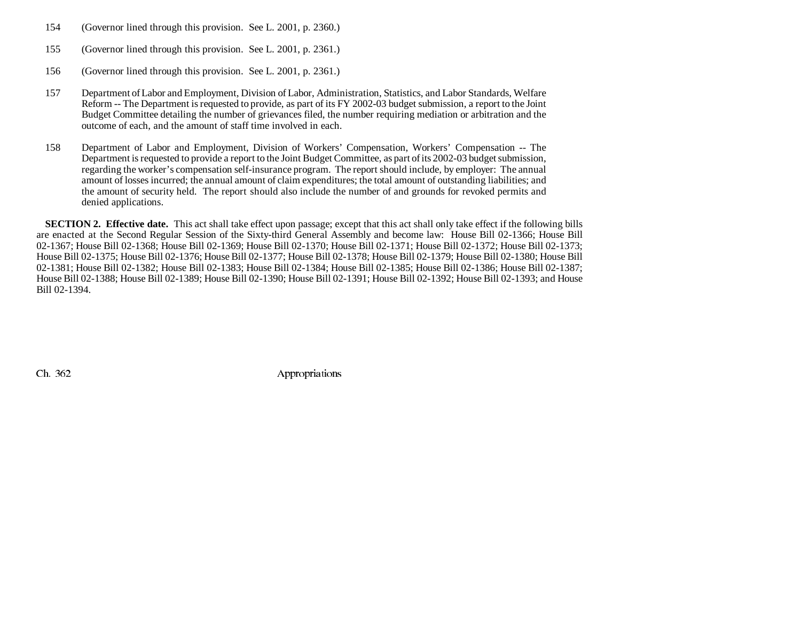- 154 (Governor lined through this provision. See L. 2001, p. 2360.)
- 155 (Governor lined through this provision. See L. 2001, p. 2361.)
- 156 (Governor lined through this provision. See L. 2001, p. 2361.)
- 157 Department of Labor and Employment, Division of Labor, Administration, Statistics, and Labor Standards, Welfare Reform -- The Department is requested to provide, as part of its FY 2002-03 budget submission, a report to the Joint Budget Committee detailing the number of grievances filed, the number requiring mediation or arbitration and the outcome of each, and the amount of staff time involved in each.
- 158 Department of Labor and Employment, Division of Workers' Compensation, Workers' Compensation -- The Department is requested to provide a report to the Joint Budget Committee, as part of its 2002-03 budget submission, regarding the worker's compensation self-insurance program. The report should include, by employer: The annual amount of losses incurred; the annual amount of claim expenditures; the total amount of outstanding liabilities; and the amount of security held. The report should also include the number of and grounds for revoked permits and denied applications.

**SECTION 2. Effective date.** This act shall take effect upon passage; except that this act shall only take effect if the following bills are enacted at the Second Regular Session of the Sixty-third General Assembly and become law: House Bill 02-1366; House Bill 02-1367; House Bill 02-1368; House Bill 02-1369; House Bill 02-1370; House Bill 02-1371; House Bill 02-1372; House Bill 02-1373; House Bill 02-1375; House Bill 02-1376; House Bill 02-1377; House Bill 02-1378; House Bill 02-1379; House Bill 02-1380; House Bill 02-1381; House Bill 02-1382; House Bill 02-1383; House Bill 02-1384; House Bill 02-1385; House Bill 02-1386; House Bill 02-1387; House Bill 02-1388; House Bill 02-1389; House Bill 02-1390; House Bill 02-1391; House Bill 02-1392; House Bill 02-1393; and House Bill 02-1394.